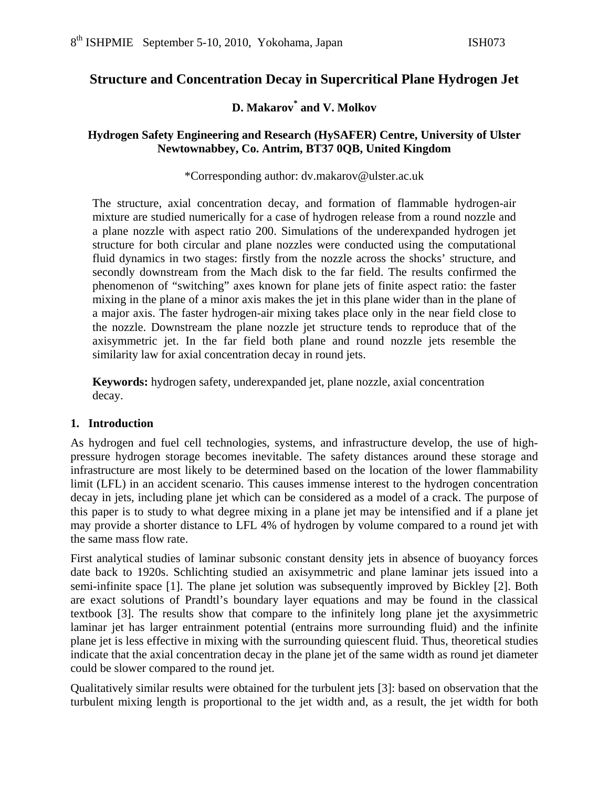# **Structure and Concentration Decay in Supercritical Plane Hydrogen Jet**

### **D. Makarov\* and V. Molkov**

### **Hydrogen Safety Engineering and Research (HySAFER) Centre, University of Ulster Newtownabbey, Co. Antrim, BT37 0QB, United Kingdom**

#### \*Corresponding author: dv.makarov@ulster.ac.uk

The structure, axial concentration decay, and formation of flammable hydrogen-air mixture are studied numerically for a case of hydrogen release from a round nozzle and a plane nozzle with aspect ratio 200. Simulations of the underexpanded hydrogen jet structure for both circular and plane nozzles were conducted using the computational fluid dynamics in two stages: firstly from the nozzle across the shocks' structure, and secondly downstream from the Mach disk to the far field. The results confirmed the phenomenon of "switching" axes known for plane jets of finite aspect ratio: the faster mixing in the plane of a minor axis makes the jet in this plane wider than in the plane of a major axis. The faster hydrogen-air mixing takes place only in the near field close to the nozzle. Downstream the plane nozzle jet structure tends to reproduce that of the axisymmetric jet. In the far field both plane and round nozzle jets resemble the similarity law for axial concentration decay in round jets.

**Keywords:** hydrogen safety, underexpanded jet, plane nozzle, axial concentration decay.

### **1. Introduction**

As hydrogen and fuel cell technologies, systems, and infrastructure develop, the use of highpressure hydrogen storage becomes inevitable. The safety distances around these storage and infrastructure are most likely to be determined based on the location of the lower flammability limit (LFL) in an accident scenario. This causes immense interest to the hydrogen concentration decay in jets, including plane jet which can be considered as a model of a crack. The purpose of this paper is to study to what degree mixing in a plane jet may be intensified and if a plane jet may provide a shorter distance to LFL 4% of hydrogen by volume compared to a round jet with the same mass flow rate.

First analytical studies of laminar subsonic constant density jets in absence of buoyancy forces date back to 1920s. Schlichting studied an axisymmetric and plane laminar jets issued into a semi-infinite space [1]. The plane jet solution was subsequently improved by Bickley [2]. Both are exact solutions of Prandtl's boundary layer equations and may be found in the classical textbook [3]. The results show that compare to the infinitely long plane jet the axysimmetric laminar jet has larger entrainment potential (entrains more surrounding fluid) and the infinite plane jet is less effective in mixing with the surrounding quiescent fluid. Thus, theoretical studies indicate that the axial concentration decay in the plane jet of the same width as round jet diameter could be slower compared to the round jet.

Qualitatively similar results were obtained for the turbulent jets [3]: based on observation that the turbulent mixing length is proportional to the jet width and, as a result, the jet width for both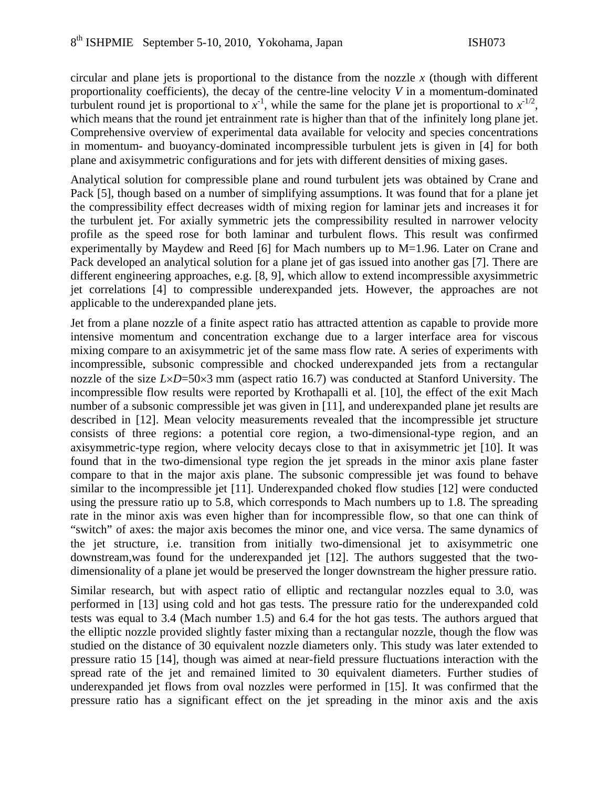circular and plane jets is proportional to the distance from the nozzle *x* (though with different proportionality coefficients), the decay of the centre-line velocity *V* in a momentum-dominated turbulent round jet is proportional to  $x^{-1}$ , while the same for the plane jet is proportional to  $x^{-1/2}$ , which means that the round jet entrainment rate is higher than that of the infinitely long plane jet. Comprehensive overview of experimental data available for velocity and species concentrations in momentum- and buoyancy-dominated incompressible turbulent jets is given in [4] for both plane and axisymmetric configurations and for jets with different densities of mixing gases.

Analytical solution for compressible plane and round turbulent jets was obtained by Crane and Pack [5], though based on a number of simplifying assumptions. It was found that for a plane jet the compressibility effect decreases width of mixing region for laminar jets and increases it for the turbulent jet. For axially symmetric jets the compressibility resulted in narrower velocity profile as the speed rose for both laminar and turbulent flows. This result was confirmed experimentally by Maydew and Reed [6] for Mach numbers up to M=1.96. Later on Crane and Pack developed an analytical solution for a plane jet of gas issued into another gas [7]. There are different engineering approaches, e.g. [8, 9], which allow to extend incompressible axysimmetric jet correlations [4] to compressible underexpanded jets. However, the approaches are not applicable to the underexpanded plane jets.

Jet from a plane nozzle of a finite aspect ratio has attracted attention as capable to provide more intensive momentum and concentration exchange due to a larger interface area for viscous mixing compare to an axisymmetric jet of the same mass flow rate. A series of experiments with incompressible, subsonic compressible and chocked underexpanded jets from a rectangular nozzle of the size *L*×*D*=50×3 mm (aspect ratio 16.7) was conducted at Stanford University. The incompressible flow results were reported by Krothapalli et al. [10], the effect of the exit Mach number of a subsonic compressible jet was given in [11], and underexpanded plane jet results are described in [12]. Mean velocity measurements revealed that the incompressible jet structure consists of three regions: a potential core region, a two-dimensional-type region, and an axisymmetric-type region, where velocity decays close to that in axisymmetric jet [10]. It was found that in the two-dimensional type region the jet spreads in the minor axis plane faster compare to that in the major axis plane. The subsonic compressible jet was found to behave similar to the incompressible jet [11]. Underexpanded choked flow studies [12] were conducted using the pressure ratio up to 5.8, which corresponds to Mach numbers up to 1.8. The spreading rate in the minor axis was even higher than for incompressible flow, so that one can think of "switch" of axes: the major axis becomes the minor one, and vice versa. The same dynamics of the jet structure, i.e. transition from initially two-dimensional jet to axisymmetric one downstream,was found for the underexpanded jet [12]. The authors suggested that the twodimensionality of a plane jet would be preserved the longer downstream the higher pressure ratio.

Similar research, but with aspect ratio of elliptic and rectangular nozzles equal to 3.0, was performed in [13] using cold and hot gas tests. The pressure ratio for the underexpanded cold tests was equal to 3.4 (Mach number 1.5) and 6.4 for the hot gas tests. The authors argued that the elliptic nozzle provided slightly faster mixing than a rectangular nozzle, though the flow was studied on the distance of 30 equivalent nozzle diameters only. This study was later extended to pressure ratio 15 [14], though was aimed at near-field pressure fluctuations interaction with the spread rate of the jet and remained limited to 30 equivalent diameters. Further studies of underexpanded jet flows from oval nozzles were performed in [15]. It was confirmed that the pressure ratio has a significant effect on the jet spreading in the minor axis and the axis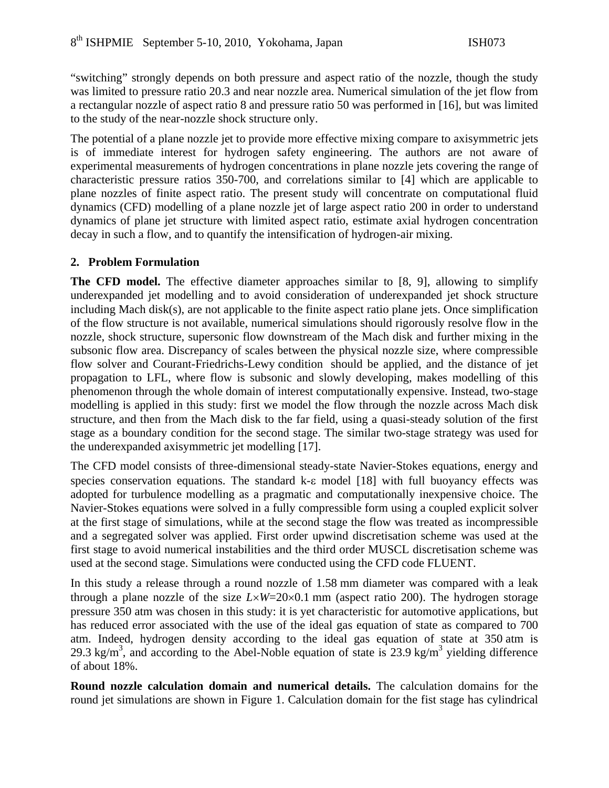"switching" strongly depends on both pressure and aspect ratio of the nozzle, though the study was limited to pressure ratio 20.3 and near nozzle area. Numerical simulation of the jet flow from a rectangular nozzle of aspect ratio 8 and pressure ratio 50 was performed in [16], but was limited to the study of the near-nozzle shock structure only.

The potential of a plane nozzle jet to provide more effective mixing compare to axisymmetric jets is of immediate interest for hydrogen safety engineering. The authors are not aware of experimental measurements of hydrogen concentrations in plane nozzle jets covering the range of characteristic pressure ratios 350-700, and correlations similar to [4] which are applicable to plane nozzles of finite aspect ratio. The present study will concentrate on computational fluid dynamics (CFD) modelling of a plane nozzle jet of large aspect ratio 200 in order to understand dynamics of plane jet structure with limited aspect ratio, estimate axial hydrogen concentration decay in such a flow, and to quantify the intensification of hydrogen-air mixing.

### **2. Problem Formulation**

**The CFD model.** The effective diameter approaches similar to [8, 9], allowing to simplify underexpanded jet modelling and to avoid consideration of underexpanded jet shock structure including Mach disk(s), are not applicable to the finite aspect ratio plane jets. Once simplification of the flow structure is not available, numerical simulations should rigorously resolve flow in the nozzle, shock structure, supersonic flow downstream of the Mach disk and further mixing in the subsonic flow area. Discrepancy of scales between the physical nozzle size, where compressible flow solver and Courant-Friedrichs-Lewy condition should be applied, and the distance of jet propagation to LFL, where flow is subsonic and slowly developing, makes modelling of this phenomenon through the whole domain of interest computationally expensive. Instead, two-stage modelling is applied in this study: first we model the flow through the nozzle across Mach disk structure, and then from the Mach disk to the far field, using a quasi-steady solution of the first stage as a boundary condition for the second stage. The similar two-stage strategy was used for the underexpanded axisymmetric jet modelling [17].

The CFD model consists of three-dimensional steady-state Navier-Stokes equations, energy and species conservation equations. The standard k-ε model [18] with full buoyancy effects was adopted for turbulence modelling as a pragmatic and computationally inexpensive choice. The Navier-Stokes equations were solved in a fully compressible form using a coupled explicit solver at the first stage of simulations, while at the second stage the flow was treated as incompressible and a segregated solver was applied. First order upwind discretisation scheme was used at the first stage to avoid numerical instabilities and the third order MUSCL discretisation scheme was used at the second stage. Simulations were conducted using the CFD code FLUENT.

In this study a release through a round nozzle of 1.58 mm diameter was compared with a leak through a plane nozzle of the size  $L \times W = 20 \times 0.1$  mm (aspect ratio 200). The hydrogen storage pressure 350 atm was chosen in this study: it is yet characteristic for automotive applications, but has reduced error associated with the use of the ideal gas equation of state as compared to 700 atm. Indeed, hydrogen density according to the ideal gas equation of state at 350 atm is 29.3 kg/m<sup>3</sup>, and according to the Abel-Noble equation of state is 23.9 kg/m<sup>3</sup> yielding difference of about 18%.

**Round nozzle calculation domain and numerical details.** The calculation domains for the round jet simulations are shown in Figure 1. Calculation domain for the fist stage has cylindrical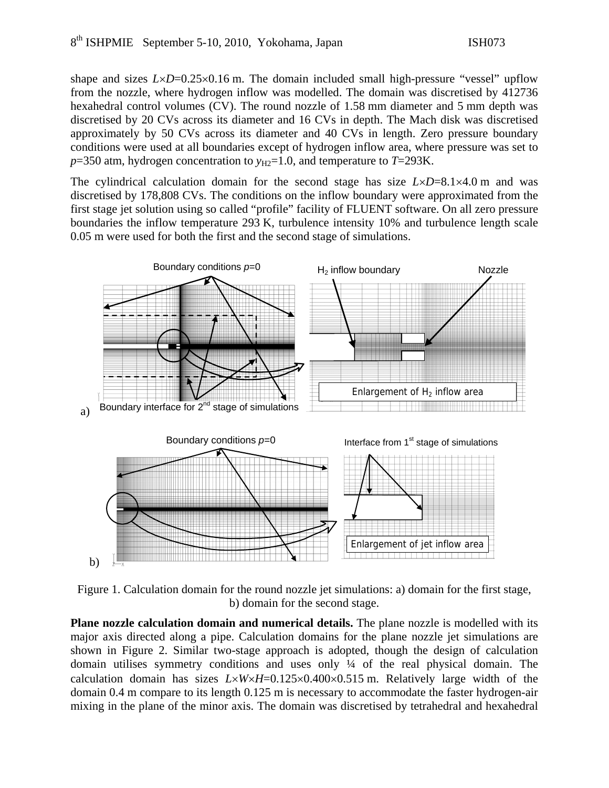shape and sizes  $L \times D = 0.25 \times 0.16$  m. The domain included small high-pressure "vessel" upflow from the nozzle, where hydrogen inflow was modelled. The domain was discretised by 412736 hexahedral control volumes (CV). The round nozzle of 1.58 mm diameter and 5 mm depth was discretised by 20 CVs across its diameter and 16 CVs in depth. The Mach disk was discretised approximately by 50 CVs across its diameter and 40 CVs in length. Zero pressure boundary conditions were used at all boundaries except of hydrogen inflow area, where pressure was set to  $p=350$  atm, hydrogen concentration to  $y_{H2}=1.0$ , and temperature to  $T=293K$ .

The cylindrical calculation domain for the second stage has size  $L \times D = 8.1 \times 4.0$  m and was discretised by 178,808 CVs. The conditions on the inflow boundary were approximated from the first stage jet solution using so called "profile" facility of FLUENT software. On all zero pressure boundaries the inflow temperature 293 K, turbulence intensity 10% and turbulence length scale 0.05 m were used for both the first and the second stage of simulations.



Figure 1. Calculation domain for the round nozzle jet simulations: a) domain for the first stage, b) domain for the second stage.

**Plane nozzle calculation domain and numerical details.** The plane nozzle is modelled with its major axis directed along a pipe. Calculation domains for the plane nozzle jet simulations are shown in Figure 2. Similar two-stage approach is adopted, though the design of calculation domain utilises symmetry conditions and uses only ¼ of the real physical domain. The calculation domain has sizes  $L \times W \times H = 0.125 \times 0.400 \times 0.515$  m. Relatively large width of the domain 0.4 m compare to its length 0.125 m is necessary to accommodate the faster hydrogen-air mixing in the plane of the minor axis. The domain was discretised by tetrahedral and hexahedral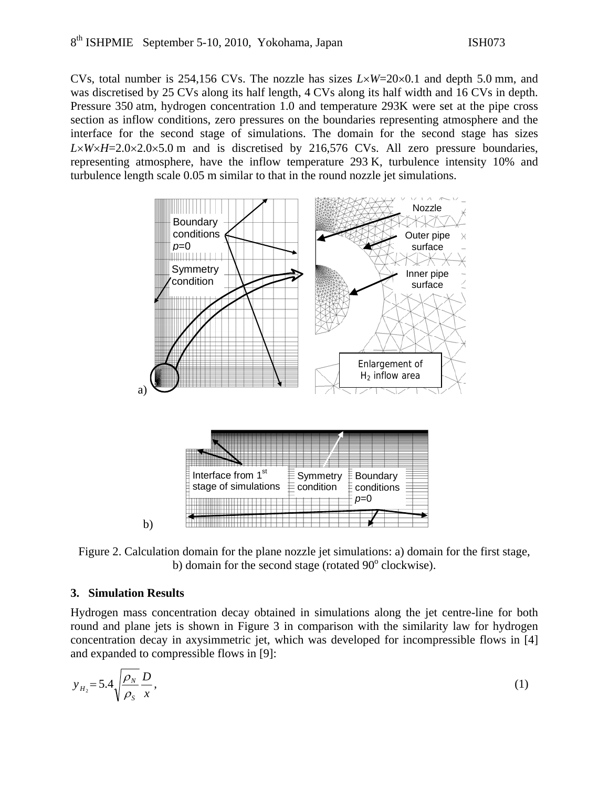CVs, total number is 254,156 CVs. The nozzle has sizes *L*×*W*=20×0.1 and depth 5.0 mm, and was discretised by 25 CVs along its half length, 4 CVs along its half width and 16 CVs in depth. Pressure 350 atm, hydrogen concentration 1.0 and temperature 293K were set at the pipe cross section as inflow conditions, zero pressures on the boundaries representing atmosphere and the interface for the second stage of simulations. The domain for the second stage has sizes  $L\times W\times H=2.0\times2.0\times5.0$  m and is discretised by 216,576 CVs. All zero pressure boundaries, representing atmosphere, have the inflow temperature 293 K, turbulence intensity 10% and turbulence length scale 0.05 m similar to that in the round nozzle jet simulations.



Figure 2. Calculation domain for the plane nozzle jet simulations: a) domain for the first stage, b) domain for the second stage (rotated  $90^\circ$  clockwise).

### **3. Simulation Results**

Hydrogen mass concentration decay obtained in simulations along the jet centre-line for both round and plane jets is shown in Figure 3 in comparison with the similarity law for hydrogen concentration decay in axysimmetric jet, which was developed for incompressible flows in [4] and expanded to compressible flows in [9]:

$$
y_{H_2} = 5.4 \sqrt{\frac{\rho_N}{\rho_S}} \frac{D}{x},\tag{1}
$$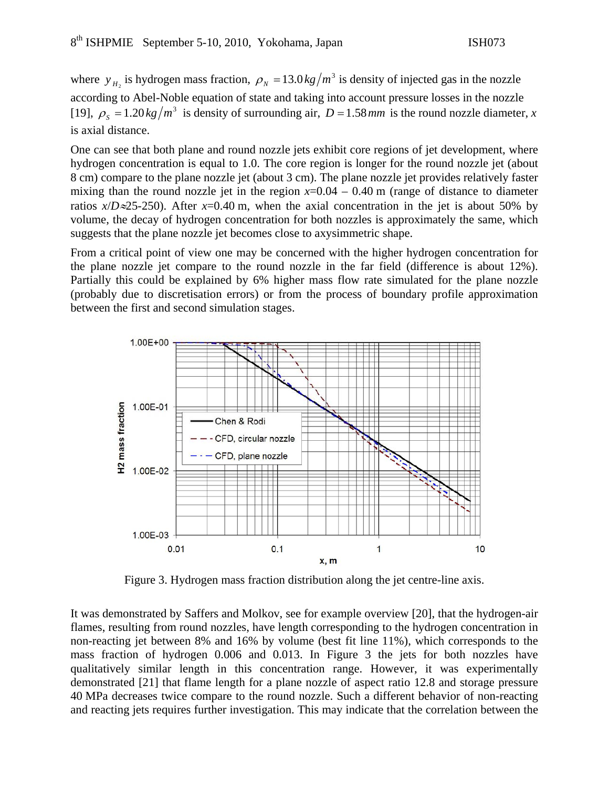where  $y_{H_2}$  is hydrogen mass fraction,  $\rho_N = 13.0 \frac{kg}{m^3}$  is density of injected gas in the nozzle according to Abel-Noble equation of state and taking into account pressure losses in the nozzle [19],  $\rho_s = 1.20 \frac{kg}{m^3}$  is density of surrounding air,  $D = 1.58$  *mm* is the round nozzle diameter, *x* is axial distance.

One can see that both plane and round nozzle jets exhibit core regions of jet development, where hydrogen concentration is equal to 1.0. The core region is longer for the round nozzle jet (about 8 cm) compare to the plane nozzle jet (about 3 cm). The plane nozzle jet provides relatively faster mixing than the round nozzle jet in the region  $x=0.04 - 0.40$  m (range of distance to diameter ratios  $x/D \approx 25-250$ ). After  $x=0.40$  m, when the axial concentration in the jet is about 50% by volume, the decay of hydrogen concentration for both nozzles is approximately the same, which suggests that the plane nozzle jet becomes close to axysimmetric shape.

From a critical point of view one may be concerned with the higher hydrogen concentration for the plane nozzle jet compare to the round nozzle in the far field (difference is about 12%). Partially this could be explained by 6% higher mass flow rate simulated for the plane nozzle (probably due to discretisation errors) or from the process of boundary profile approximation between the first and second simulation stages.



It was demonstrated by Saffers and Molkov, see for example overview [20], that the hydrogen-air flames, resulting from round nozzles, have length corresponding to the hydrogen concentration in non-reacting jet between 8% and 16% by volume (best fit line 11%), which corresponds to the mass fraction of hydrogen 0.006 and 0.013. In Figure 3 the jets for both nozzles have qualitatively similar length in this concentration range. However, it was experimentally demonstrated [21] that flame length for a plane nozzle of aspect ratio 12.8 and storage pressure 40 MPa decreases twice compare to the round nozzle. Such a different behavior of non-reacting and reacting jets requires further investigation. This may indicate that the correlation between the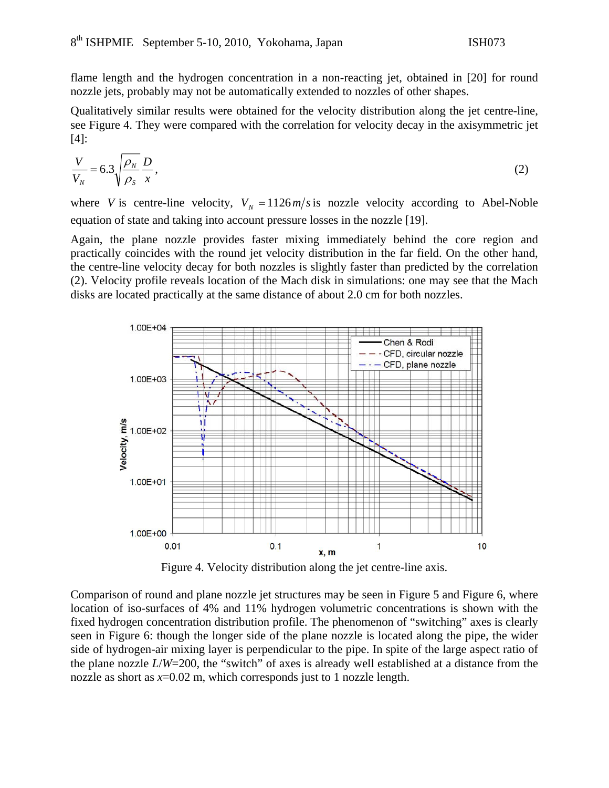flame length and the hydrogen concentration in a non-reacting jet, obtained in [20] for round nozzle jets, probably may not be automatically extended to nozzles of other shapes.

Qualitatively similar results were obtained for the velocity distribution along the jet centre-line, see Figure 4. They were compared with the correlation for velocity decay in the axisymmetric jet [4]:

$$
\frac{V}{V_N} = 6.3 \sqrt{\frac{\rho_N}{\rho_S}} \frac{D}{x},\tag{2}
$$

where *V* is centre-line velocity,  $V_N = 1126 \frac{m}{s}$  is nozzle velocity according to Abel-Noble equation of state and taking into account pressure losses in the nozzle [19].

Again, the plane nozzle provides faster mixing immediately behind the core region and practically coincides with the round jet velocity distribution in the far field. On the other hand, the centre-line velocity decay for both nozzles is slightly faster than predicted by the correlation (2). Velocity profile reveals location of the Mach disk in simulations: one may see that the Mach disks are located practically at the same distance of about 2.0 cm for both nozzles.



Figure 4. Velocity distribution along the jet centre-line axis.

Comparison of round and plane nozzle jet structures may be seen in Figure 5 and Figure 6, where location of iso-surfaces of 4% and 11% hydrogen volumetric concentrations is shown with the fixed hydrogen concentration distribution profile. The phenomenon of "switching" axes is clearly seen in Figure 6: though the longer side of the plane nozzle is located along the pipe, the wider side of hydrogen-air mixing layer is perpendicular to the pipe. In spite of the large aspect ratio of the plane nozzle *L*/*W*=200, the "switch" of axes is already well established at a distance from the nozzle as short as *x*=0.02 m, which corresponds just to 1 nozzle length.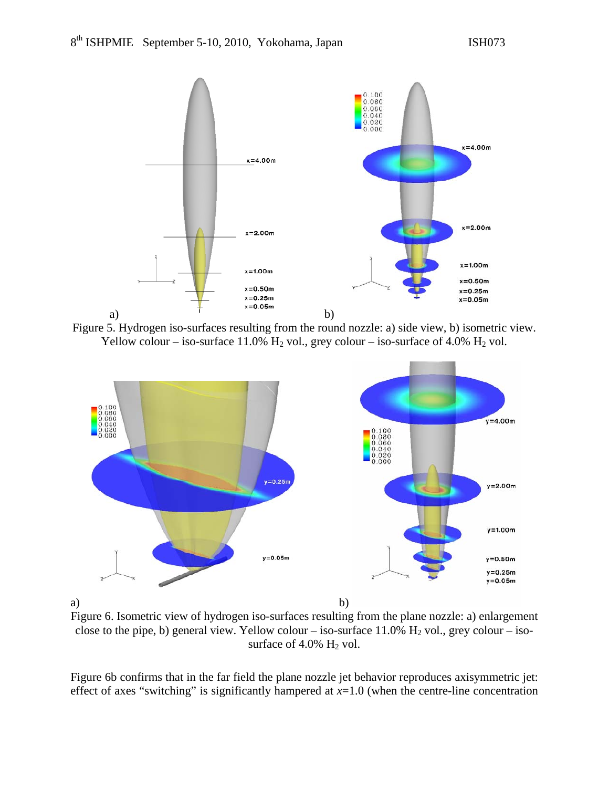





Figure 6. Isometric view of hydrogen iso-surfaces resulting from the plane nozzle: a) enlargement close to the pipe, b) general view. Yellow colour – iso-surface 11.0%  $H_2$  vol., grey colour – isosurface of  $4.0\%$  H<sub>2</sub> vol.

Figure 6b confirms that in the far field the plane nozzle jet behavior reproduces axisymmetric jet: effect of axes "switching" is significantly hampered at  $x=1.0$  (when the centre-line concentration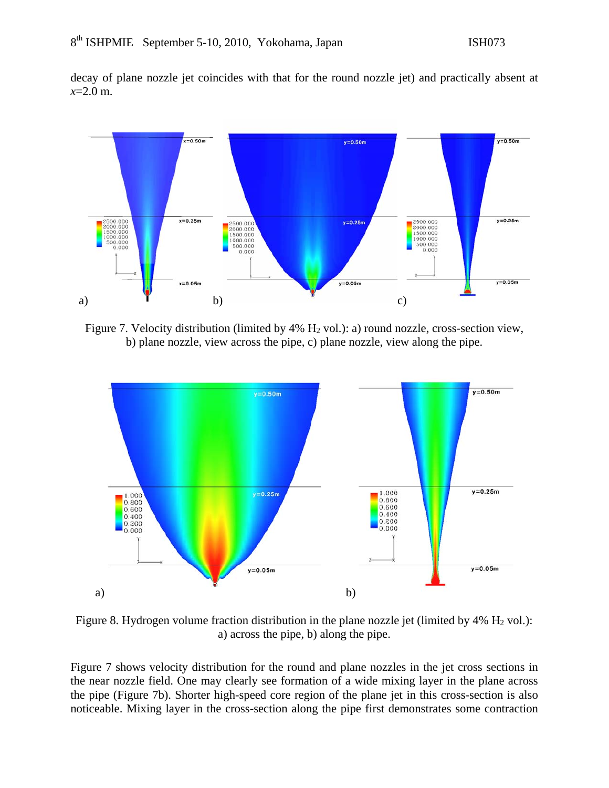decay of plane nozzle jet coincides with that for the round nozzle jet) and practically absent at *x*=2.0 m.



Figure 7. Velocity distribution (limited by  $4\%$  H<sub>2</sub> vol.): a) round nozzle, cross-section view, b) plane nozzle, view across the pipe, c) plane nozzle, view along the pipe.



Figure 8. Hydrogen volume fraction distribution in the plane nozzle jet (limited by  $4\%$  H<sub>2</sub> vol.): a) across the pipe, b) along the pipe.

Figure 7 shows velocity distribution for the round and plane nozzles in the jet cross sections in the near nozzle field. One may clearly see formation of a wide mixing layer in the plane across the pipe (Figure 7b). Shorter high-speed core region of the plane jet in this cross-section is also noticeable. Mixing layer in the cross-section along the pipe first demonstrates some contraction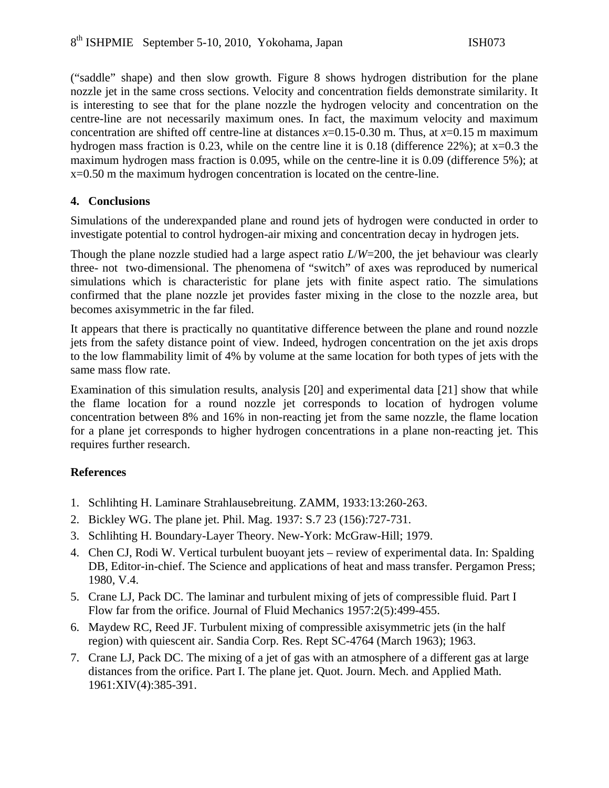("saddle" shape) and then slow growth. Figure 8 shows hydrogen distribution for the plane nozzle jet in the same cross sections. Velocity and concentration fields demonstrate similarity. It is interesting to see that for the plane nozzle the hydrogen velocity and concentration on the centre-line are not necessarily maximum ones. In fact, the maximum velocity and maximum concentration are shifted off centre-line at distances  $x=0.15-0.30$  m. Thus, at  $x=0.15$  m maximum hydrogen mass fraction is 0.23, while on the centre line it is 0.18 (difference 22%); at  $x=0.3$  the maximum hydrogen mass fraction is 0.095, while on the centre-line it is 0.09 (difference 5%); at x=0.50 m the maximum hydrogen concentration is located on the centre-line.

### **4. Conclusions**

Simulations of the underexpanded plane and round jets of hydrogen were conducted in order to investigate potential to control hydrogen-air mixing and concentration decay in hydrogen jets.

Though the plane nozzle studied had a large aspect ratio *L*/*W*=200, the jet behaviour was clearly three- not two-dimensional. The phenomena of "switch" of axes was reproduced by numerical simulations which is characteristic for plane jets with finite aspect ratio. The simulations confirmed that the plane nozzle jet provides faster mixing in the close to the nozzle area, but becomes axisymmetric in the far filed.

It appears that there is practically no quantitative difference between the plane and round nozzle jets from the safety distance point of view. Indeed, hydrogen concentration on the jet axis drops to the low flammability limit of 4% by volume at the same location for both types of jets with the same mass flow rate.

Examination of this simulation results, analysis [20] and experimental data [21] show that while the flame location for a round nozzle jet corresponds to location of hydrogen volume concentration between 8% and 16% in non-reacting jet from the same nozzle, the flame location for a plane jet corresponds to higher hydrogen concentrations in a plane non-reacting jet. This requires further research.

## **References**

- 1. Schlihting H. Laminare Strahlausebreitung. ZAMM, 1933:13:260-263.
- 2. Bickley WG. The plane jet. Phil. Mag. 1937: S.7 23 (156):727-731.
- 3. Schlihting H. Boundary-Layer Theory. New-York: McGraw-Hill; 1979.
- 4. Chen CJ, Rodi W. Vertical turbulent buoyant jets review of experimental data. In: Spalding DB, Editor-in-chief. The Science and applications of heat and mass transfer. Pergamon Press; 1980, V.4.
- 5. Crane LJ, Pack DC. The laminar and turbulent mixing of jets of compressible fluid. Part I Flow far from the orifice. Journal of Fluid Mechanics 1957:2(5):499-455.
- 6. Maydew RC, Reed JF. Turbulent mixing of compressible axisymmetric jets (in the half region) with quiescent air. Sandia Corp. Res. Rept SC-4764 (March 1963); 1963.
- 7. Crane LJ, Pack DC. The mixing of a jet of gas with an atmosphere of a different gas at large distances from the orifice. Part I. The plane jet. Quot. Journ. Mech. and Applied Math. 1961:XIV(4):385-391.